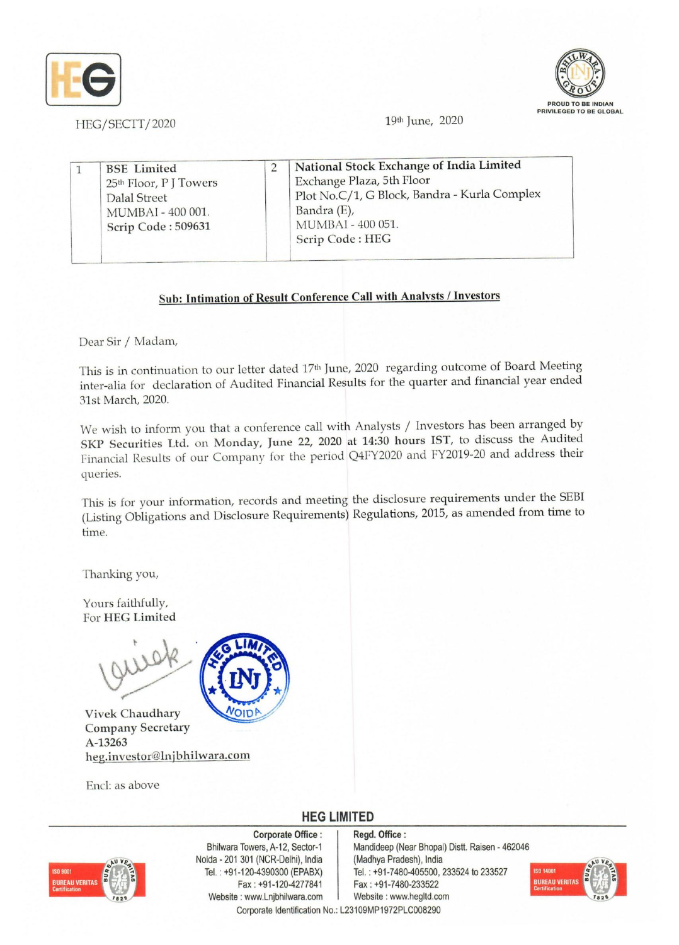



HEG/SECTT/2020 **19th June, 2020** 

|  | <b>BSE</b> Limited<br>25 <sup>th</sup> Floor, P J Towers<br>Dalal Street<br>MUMBAI - 400 001.<br>Scrip Code: 509631 | National Stock Exchange of India Limited<br>Exchange Plaza, 5th Floor<br>Plot No.C/1, G Block, Bandra - Kurla Complex<br>Bandra (E),<br>MUMBAI - 400 051. |
|--|---------------------------------------------------------------------------------------------------------------------|-----------------------------------------------------------------------------------------------------------------------------------------------------------|
|  |                                                                                                                     | Scrip Code: HEG                                                                                                                                           |

## Sub: Intimation of Result Conference Call with Analysts / Investors

Dear Sir *I* Madam,

This is in continuation to our letter dated 17th June, 2020 regarding outcome of Board Meeting inter-alia for declaration of Audited Financial Results for the quarter and financial year ended 31st March, 2020.

We wish to inform you that a conference call with Analysts *I* Investors has been arranged by SKP Securities Ltd. on Monday, June 22, 2020 at 14:30 hours 1ST, to discuss the Audited Financial Results of our Company for the period Q4FY2020 and FY2019-20 and address their queries.

This is for your information, records and meeting the disclosure requirements under the SEB! (Listing Obligations and Disclosure Requirements) Regulations, 2015, as amended from time to time.

Thanking you,

Yours faithfully, For HEG Limited



Vivek Chaudhary Company Secretary A-13263 heg.investor@lnjbhilwara.com

End: as above



**HEG LIMITED** 



Corporate Office: Bhilwara Towers, A-12, Sector-1 Noida • 201 301 (NCR-Delhi), India Tel. : +91-120-4390300 (EPABX) Fax: +91-120-4277841 Website: www.Lnjbhilwara.com | Website: www.hegltd.com

Regd. Office: Mandideep (Near Bhopal) Distt. Raisen - 462046 (Madhya Pradesh), India Tel. : +91-7480-405500, 233524 10 233527 Fax: +91-7480-233522 Corporate Identification No.: L23109MP1972PLC008290